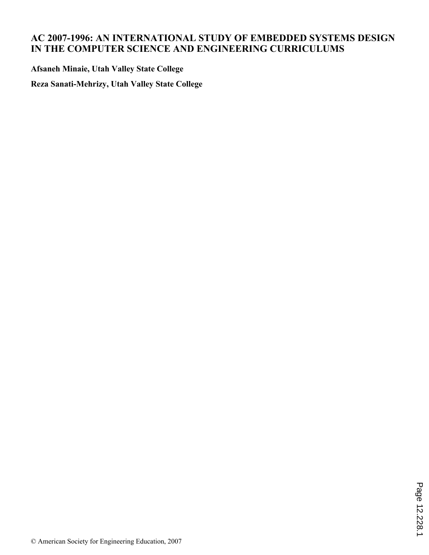## **AC 2007-1996: AN INTERNATIONAL STUDY OF EMBEDDED SYSTEMS DESIGN IN THE COMPUTER SCIENCE AND ENGINEERING CURRICULUMS**

**Afsaneh Minaie, Utah Valley State College**

**Reza Sanati-Mehrizy, Utah Valley State College**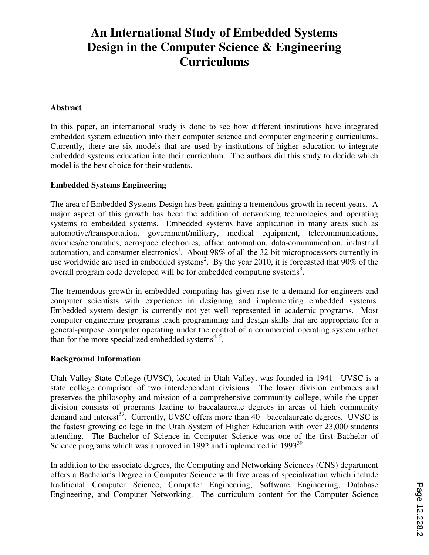# **An International Study of Embedded Systems Design in the Computer Science & Engineering Curriculums**

#### **Abstract**

In this paper, an international study is done to see how different institutions have integrated embedded system education into their computer science and computer engineering curriculums. Currently, there are six models that are used by institutions of higher education to integrate embedded systems education into their curriculum. The authors did this study to decide which model is the best choice for their students.

#### **Embedded Systems Engineering**

The area of Embedded Systems Design has been gaining a tremendous growth in recent years. A major aspect of this growth has been the addition of networking technologies and operating systems to embedded systems. Embedded systems have application in many areas such as automotive/transportation, government/military, medical equipment, telecommunications, avionics/aeronautics, aerospace electronics, office automation, data-communication, industrial automation, and consumer electronics<sup>1</sup>. About 98% of all the 32-bit microprocessors currently in use worldwide are used in embedded systems<sup>2</sup>. By the year 2010, it is forecasted that 90% of the overall program code developed will be for embedded computing systems<sup>3</sup>.

The tremendous growth in embedded computing has given rise to a demand for engineers and computer scientists with experience in designing and implementing embedded systems. Embedded system design is currently not yet well represented in academic programs. Most computer engineering programs teach programming and design skills that are appropriate for a general-purpose computer operating under the control of a commercial operating system rather than for the more specialized embedded systems $4,5$ .

#### **Background Information**

Utah Valley State College (UVSC), located in Utah Valley, was founded in 1941. UVSC is a state college comprised of two interdependent divisions. The lower division embraces and preserves the philosophy and mission of a comprehensive community college, while the upper division consists of programs leading to baccalaureate degrees in areas of high community demand and interest<sup>39</sup>. Currently, UVSC offers more than  $40$  baccalaureate degrees. UVSC is the fastest growing college in the Utah System of Higher Education with over 23,000 students attending. The Bachelor of Science in Computer Science was one of the first Bachelor of Science programs which was approved in 1992 and implemented in  $1993^{39}$ .

In addition to the associate degrees, the Computing and Networking Sciences (CNS) department offers a Bachelor's Degree in Computer Science with five areas of specialization which include traditional Computer Science, Computer Engineering, Software Engineering, Database Engineering, and Computer Networking. The curriculum content for the Computer Science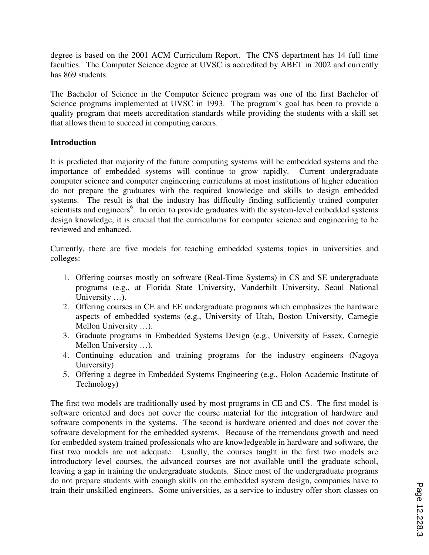degree is based on the 2001 ACM Curriculum Report. The CNS department has 14 full time faculties. The Computer Science degree at UVSC is accredited by ABET in 2002 and currently has 869 students.

The Bachelor of Science in the Computer Science program was one of the first Bachelor of Science programs implemented at UVSC in 1993. The program's goal has been to provide a quality program that meets accreditation standards while providing the students with a skill set that allows them to succeed in computing careers.

### **Introduction**

It is predicted that majority of the future computing systems will be embedded systems and the importance of embedded systems will continue to grow rapidly. Current undergraduate computer science and computer engineering curriculums at most institutions of higher education do not prepare the graduates with the required knowledge and skills to design embedded systems. The result is that the industry has difficulty finding sufficiently trained computer scientists and engineers<sup>6</sup>. In order to provide graduates with the system-level embedded systems design knowledge, it is crucial that the curriculums for computer science and engineering to be reviewed and enhanced.

Currently, there are five models for teaching embedded systems topics in universities and colleges:

- 1. Offering courses mostly on software (Real-Time Systems) in CS and SE undergraduate programs (e.g., at Florida State University, Vanderbilt University, Seoul National University ...).
- 2. Offering courses in CE and EE undergraduate programs which emphasizes the hardware aspects of embedded systems (e.g., University of Utah, Boston University, Carnegie Mellon University …).
- 3. Graduate programs in Embedded Systems Design (e.g., University of Essex, Carnegie Mellon University …).
- 4. Continuing education and training programs for the industry engineers (Nagoya University)
- 5. Offering a degree in Embedded Systems Engineering (e.g., Holon Academic Institute of Technology)

The first two models are traditionally used by most programs in CE and CS. The first model is software oriented and does not cover the course material for the integration of hardware and software components in the systems. The second is hardware oriented and does not cover the software development for the embedded systems. Because of the tremendous growth and need for embedded system trained professionals who are knowledgeable in hardware and software, the first two models are not adequate. Usually, the courses taught in the first two models are introductory level courses, the advanced courses are not available until the graduate school, leaving a gap in training the undergraduate students. Since most of the undergraduate programs do not prepare students with enough skills on the embedded system design, companies have to train their unskilled engineers. Some universities, as a service to industry offer short classes on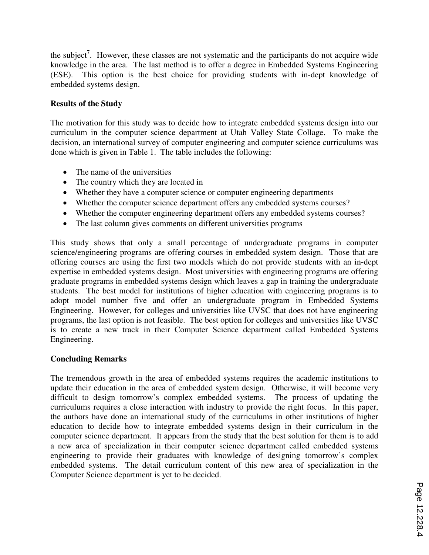the subject<sup>7</sup>. However, these classes are not systematic and the participants do not acquire wide knowledge in the area. The last method is to offer a degree in Embedded Systems Engineering (ESE). This option is the best choice for providing students with in-dept knowledge of embedded systems design.

#### **Results of the Study**

The motivation for this study was to decide how to integrate embedded systems design into our curriculum in the computer science department at Utah Valley State Collage. To make the decision, an international survey of computer engineering and computer science curriculums was done which is given in Table 1. The table includes the following:

- The name of the universities
- The country which they are located in
- Whether they have a computer science or computer engineering departments
- Whether the computer science department offers any embedded systems courses?
- Whether the computer engineering department offers any embedded systems courses?
- The last column gives comments on different universities programs

This study shows that only a small percentage of undergraduate programs in computer science/engineering programs are offering courses in embedded system design. Those that are offering courses are using the first two models which do not provide students with an in-dept expertise in embedded systems design. Most universities with engineering programs are offering graduate programs in embedded systems design which leaves a gap in training the undergraduate students. The best model for institutions of higher education with engineering programs is to adopt model number five and offer an undergraduate program in Embedded Systems Engineering. However, for colleges and universities like UVSC that does not have engineering programs, the last option is not feasible. The best option for colleges and universities like UVSC is to create a new track in their Computer Science department called Embedded Systems Engineering.

### **Concluding Remarks**

The tremendous growth in the area of embedded systems requires the academic institutions to update their education in the area of embedded system design. Otherwise, it will become very difficult to design tomorrow's complex embedded systems. The process of updating the curriculums requires a close interaction with industry to provide the right focus. In this paper, the authors have done an international study of the curriculums in other institutions of higher education to decide how to integrate embedded systems design in their curriculum in the computer science department. It appears from the study that the best solution for them is to add a new area of specialization in their computer science department called embedded systems engineering to provide their graduates with knowledge of designing tomorrow's complex embedded systems. The detail curriculum content of this new area of specialization in the Computer Science department is yet to be decided.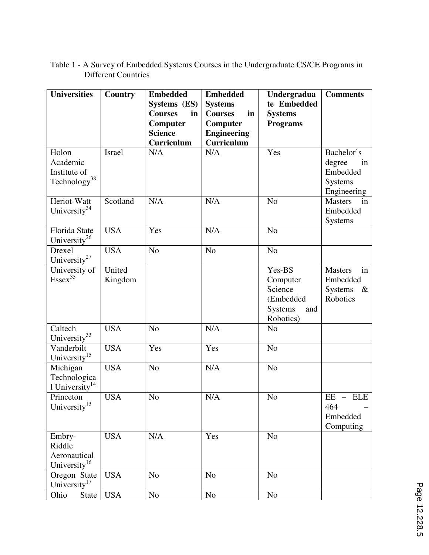| <b>Universities</b>                                           | <b>Country</b>    | <b>Embedded</b><br>Systems (ES)                                  | <b>Embedded</b><br><b>Systems</b>                                    | Undergradua<br>te Embedded                                                       | <b>Comments</b>                                                     |
|---------------------------------------------------------------|-------------------|------------------------------------------------------------------|----------------------------------------------------------------------|----------------------------------------------------------------------------------|---------------------------------------------------------------------|
|                                                               |                   | <b>Courses</b><br>in<br>Computer<br><b>Science</b><br>Curriculum | in<br><b>Courses</b><br>Computer<br><b>Engineering</b><br>Curriculum | <b>Systems</b><br><b>Programs</b>                                                |                                                                     |
| Holon<br>Academic<br>Institute of<br>Technology <sup>38</sup> | <b>Israel</b>     | N/A                                                              | N/A                                                                  | Yes                                                                              | Bachelor's<br>degree<br>in<br>Embedded<br>Systems<br>Engineering    |
| Heriot-Watt<br>University <sup>34</sup>                       | Scotland          | N/A                                                              | N/A                                                                  | N <sub>o</sub>                                                                   | <b>Masters</b><br>in<br>Embedded<br><b>Systems</b>                  |
| Florida State<br>University <sup>26</sup>                     | <b>USA</b>        | Yes                                                              | N/A                                                                  | N <sub>o</sub>                                                                   |                                                                     |
| Drexel<br>University <sup>27</sup>                            | <b>USA</b>        | N <sub>o</sub>                                                   | N <sub>o</sub>                                                       | N <sub>o</sub>                                                                   |                                                                     |
| University of<br>Essex <sup>35</sup>                          | United<br>Kingdom |                                                                  |                                                                      | Yes-BS<br>Computer<br>Science<br>(Embedded<br><b>Systems</b><br>and<br>Robotics) | <b>Masters</b><br>in<br>Embedded<br><b>Systems</b><br>&<br>Robotics |
| Caltech<br>University <sup>33</sup>                           | <b>USA</b>        | N <sub>o</sub>                                                   | N/A                                                                  | N <sub>o</sub>                                                                   |                                                                     |
| Vanderbilt<br>University <sup>15</sup>                        | <b>USA</b>        | Yes                                                              | Yes                                                                  | N <sub>o</sub>                                                                   |                                                                     |
| Michigan<br>Technologica<br>$1$ University <sup>14</sup>      | <b>USA</b>        | N <sub>o</sub>                                                   | N/A                                                                  | N <sub>o</sub>                                                                   |                                                                     |
| Princeton<br>University <sup>13</sup>                         | <b>USA</b>        | N <sub>o</sub>                                                   | N/A                                                                  | N <sub>o</sub>                                                                   | $EE$ - $ELE$<br>464<br>Embedded<br>Computing                        |
| Embry-<br>Riddle<br>Aeronautical<br>University <sup>16</sup>  | <b>USA</b>        | N/A                                                              | Yes                                                                  | N <sub>o</sub>                                                                   |                                                                     |
| Oregon State<br>University <sup>17</sup>                      | <b>USA</b>        | N <sub>o</sub>                                                   | N <sub>o</sub>                                                       | N <sub>o</sub>                                                                   |                                                                     |
| Ohio<br><b>State</b>                                          | <b>USA</b>        | No                                                               | No                                                                   | N <sub>0</sub>                                                                   |                                                                     |

Table 1 - A Survey of Embedded Systems Courses in the Undergraduate CS/CE Programs in Different Countries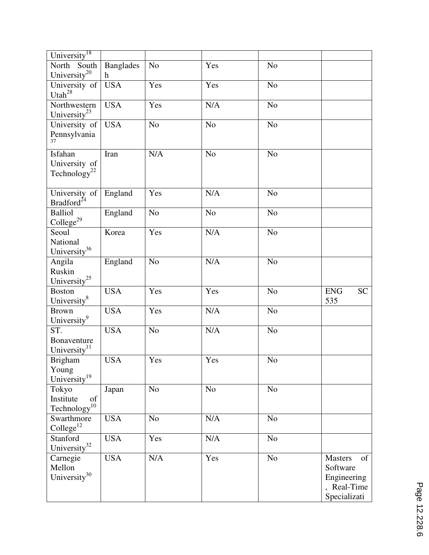| University <sup>18</sup>                |                  |                |                |                |                         |
|-----------------------------------------|------------------|----------------|----------------|----------------|-------------------------|
| North South                             | <b>Banglades</b> | N <sub>o</sub> | Yes            | N <sub>o</sub> |                         |
| University <sup>20</sup><br>$\mathbf h$ |                  |                |                |                |                         |
| University of                           | <b>USA</b>       | Yes            | Yes            | N <sub>o</sub> |                         |
| Utah $^{28}$                            |                  |                |                |                |                         |
| Northwestern                            | <b>USA</b>       | Yes            | N/A            | N <sub>o</sub> |                         |
| University <sup>23</sup>                |                  |                |                |                |                         |
| University of                           | <b>USA</b>       | N <sub>o</sub> | N <sub>o</sub> | N <sub>o</sub> |                         |
| Pennsylvania                            |                  |                |                |                |                         |
| 37                                      |                  |                |                |                |                         |
| Isfahan<br>Iran                         |                  | N/A            | N <sub>o</sub> | N <sub>o</sub> |                         |
| University of                           |                  |                |                |                |                         |
| Technology <sup>22</sup>                |                  |                |                |                |                         |
|                                         |                  |                |                |                |                         |
| University of                           | England          | Yes            | N/A            | N <sub>o</sub> |                         |
| Bradford <sup>24</sup>                  |                  |                |                |                |                         |
| <b>Balliol</b>                          | England          | N <sub>o</sub> | N <sub>o</sub> | N <sub>o</sub> |                         |
| $\text{College}^{29}$                   |                  |                |                |                |                         |
| Seoul                                   | Korea            | Yes            | N/A            | N <sub>o</sub> |                         |
| National                                |                  |                |                |                |                         |
| University <sup>36</sup>                |                  |                |                |                |                         |
|                                         |                  |                |                |                |                         |
| Angila                                  | England          | N <sub>o</sub> | N/A            | N <sub>o</sub> |                         |
| Ruskin                                  |                  |                |                |                |                         |
| University <sup>25</sup>                |                  |                |                |                |                         |
| <b>Boston</b>                           | <b>USA</b>       | Yes            | Yes            | N <sub>o</sub> | <b>SC</b><br><b>ENG</b> |
| University $^{8}$                       |                  |                |                |                | 535                     |
| <b>Brown</b>                            | <b>USA</b>       | Yes            | N/A            | N <sub>o</sub> |                         |
| University <sup>9</sup>                 |                  |                |                |                |                         |
| ST.                                     | <b>USA</b>       | N <sub>o</sub> | N/A            | N <sub>o</sub> |                         |
| Bonaventure                             |                  |                |                |                |                         |
| University $11$                         |                  |                |                |                |                         |
| <b>Brigham</b>                          | <b>USA</b>       | Yes            | Yes            | N <sub>o</sub> |                         |
| Young                                   |                  |                |                |                |                         |
| University <sup>19</sup>                |                  |                |                |                |                         |
| Tokyo                                   | Japan            | N <sub>o</sub> | N <sub>o</sub> | N <sub>o</sub> |                         |
| Institute<br>of                         |                  |                |                |                |                         |
| Technology <sup>10</sup>                |                  |                |                |                |                         |
| Swarthmore                              | <b>USA</b>       | No             | $\rm N/A$      | N <sub>o</sub> |                         |
| $\text{Collect}^{12}$                   |                  |                |                |                |                         |
| Stanford                                | <b>USA</b>       | Yes            | N/A            | N <sub>o</sub> |                         |
| University <sup>32</sup>                |                  |                |                |                |                         |
| Carnegie                                | <b>USA</b>       | N/A            | Yes            | N <sub>o</sub> | <b>Masters</b><br>of    |
| Mellon                                  |                  |                |                |                | Software                |
| University <sup>30</sup>                |                  |                |                |                | Engineering             |
|                                         |                  |                |                |                | , Real-Time             |
|                                         |                  |                |                |                | Specializati            |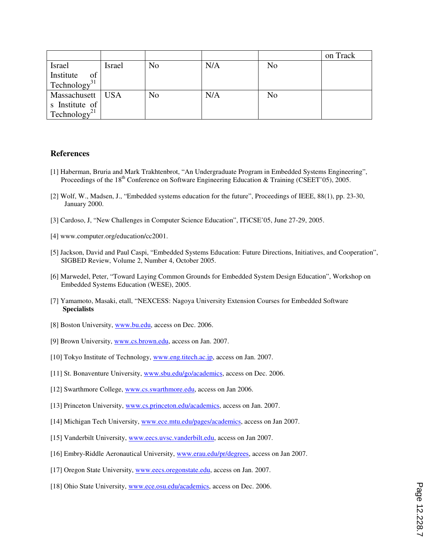|                          |               |                |     |                | on Track |
|--------------------------|---------------|----------------|-----|----------------|----------|
| Israel                   | <b>Israel</b> | N <sub>o</sub> | N/A | N <sub>o</sub> |          |
| Institute<br>of          |               |                |     |                |          |
| Technology <sup>31</sup> |               |                |     |                |          |
| Massachusett   USA       |               | N <sub>0</sub> | N/A | No             |          |
| s Institute of           |               |                |     |                |          |
| Technology <sup>21</sup> |               |                |     |                |          |

#### **References**

- [1] Haberman, Bruria and Mark Trakhtenbrot, "An Undergraduate Program in Embedded Systems Engineering", Proceedings of the 18<sup>th</sup> Conference on Software Engineering Education & Training (CSEET'05), 2005.
- [2] Wolf, W., Madsen, J., "Embedded systems education for the future", Proceedings of IEEE, 88(1), pp. 23-30, January 2000.
- [3] Cardoso, J, "New Challenges in Computer Science Education", ITiCSE'05, June 27-29, 2005.
- [4] www.computer.org/education/cc2001.
- [5] Jackson, David and Paul Caspi, "Embedded Systems Education: Future Directions, Initiatives, and Cooperation", SIGBED Review, Volume 2, Number 4, October 2005.
- [6] Marwedel, Peter, "Toward Laying Common Grounds for Embedded System Design Education", Workshop on Embedded Systems Education (WESE), 2005.
- [7] Yamamoto, Masaki, etall, "NEXCESS: Nagoya University Extension Courses for Embedded Software  **Specialists**
- [8] Boston University, www.bu.edu, access on Dec. 2006.
- [9] Brown University, www.cs.brown.edu, access on Jan. 2007.
- [10] Tokyo Institute of Technology, www.eng.titech.ac.jp, access on Jan. 2007.
- [11] St. Bonaventure University, www.sbu.edu/go/academics, access on Dec. 2006.
- [12] Swarthmore College, www.cs.swarthmore.edu, access on Jan 2006.
- [13] Princeton University, www.cs.princeton.edu/academics, access on Jan. 2007.
- [14] Michigan Tech University, www.ece.mtu.edu/pages/academics, access on Jan 2007.
- [15] Vanderbilt University, www.eecs.uvsc.vanderbilt.edu, access on Jan 2007.
- [16] Embry-Riddle Aeronautical University, www.erau.edu/pr/degrees, access on Jan 2007.
- [17] Oregon State University, www.eecs.oregonstate.edu, access on Jan. 2007.
- [18] Ohio State University, www.ece.osu.edu/academics, access on Dec. 2006.